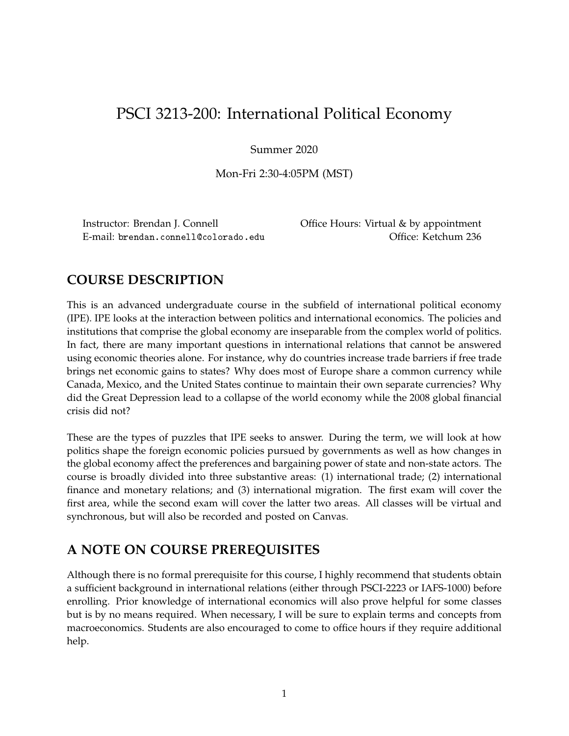# PSCI 3213-200: International Political Economy

Summer 2020

Mon-Fri 2:30-4:05PM (MST)

E-mail: brendan.connell@colorado.edu Office: Ketchum 236

Instructor: Brendan J. Connell Office Hours: Virtual & by appointment

# **COURSE DESCRIPTION**

This is an advanced undergraduate course in the subfield of international political economy (IPE). IPE looks at the interaction between politics and international economics. The policies and institutions that comprise the global economy are inseparable from the complex world of politics. In fact, there are many important questions in international relations that cannot be answered using economic theories alone. For instance, why do countries increase trade barriers if free trade brings net economic gains to states? Why does most of Europe share a common currency while Canada, Mexico, and the United States continue to maintain their own separate currencies? Why did the Great Depression lead to a collapse of the world economy while the 2008 global financial crisis did not?

These are the types of puzzles that IPE seeks to answer. During the term, we will look at how politics shape the foreign economic policies pursued by governments as well as how changes in the global economy affect the preferences and bargaining power of state and non-state actors. The course is broadly divided into three substantive areas: (1) international trade; (2) international finance and monetary relations; and (3) international migration. The first exam will cover the first area, while the second exam will cover the latter two areas. All classes will be virtual and synchronous, but will also be recorded and posted on Canvas.

# **A NOTE ON COURSE PREREQUISITES**

Although there is no formal prerequisite for this course, I highly recommend that students obtain a sufficient background in international relations (either through PSCI-2223 or IAFS-1000) before enrolling. Prior knowledge of international economics will also prove helpful for some classes but is by no means required. When necessary, I will be sure to explain terms and concepts from macroeconomics. Students are also encouraged to come to office hours if they require additional help.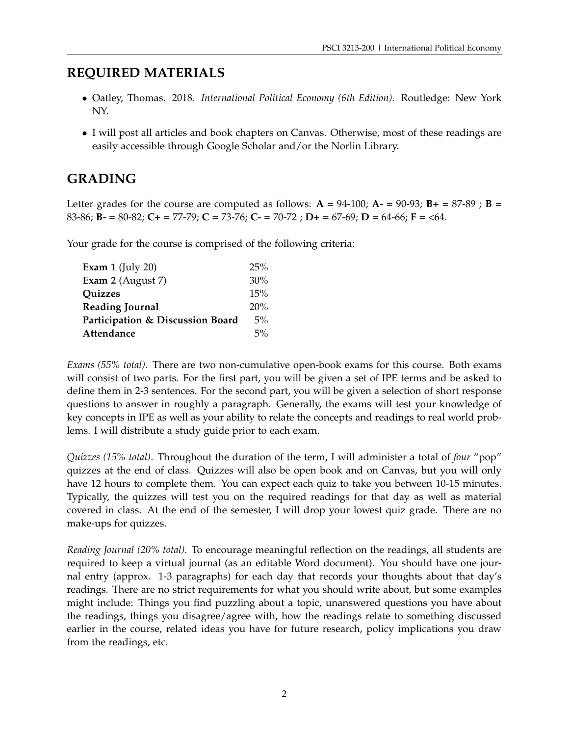# **REQUIRED MATERIALS**

- Oatley, Thomas. 2018. *International Political Economy (6th Edition)*. Routledge: New York NY.
- I will post all articles and book chapters on Canvas. Otherwise, most of these readings are easily accessible through Google Scholar and/or the Norlin Library.

# **GRADING**

Letter grades for the course are computed as follows:  $A = 94-100$ ;  $A = 90-93$ ;  $B = 87-89$ ;  $B =$ 83-86; **B-** = 80-82; **C+** = 77-79; **C** = 73-76; **C-** = 70-72 ; **D+** = 67-69; **D** = 64-66; **F** = <64.

Your grade for the course is comprised of the following criteria:

| Exam $1$ (July 20)               | 25%   |
|----------------------------------|-------|
| Exam 2 (August 7)                | 30%   |
| <b>Ouizzes</b>                   | 15%   |
| <b>Reading Journal</b>           | 20%   |
| Participation & Discussion Board | $5\%$ |
| Attendance                       | $5\%$ |
|                                  |       |

*Exams (55% total)*. There are two non-cumulative open-book exams for this course. Both exams will consist of two parts. For the first part, you will be given a set of IPE terms and be asked to define them in 2-3 sentences. For the second part, you will be given a selection of short response questions to answer in roughly a paragraph. Generally, the exams will test your knowledge of key concepts in IPE as well as your ability to relate the concepts and readings to real world problems. I will distribute a study guide prior to each exam.

*Quizzes (15% total)*. Throughout the duration of the term, I will administer a total of *four* "pop" quizzes at the end of class. Quizzes will also be open book and on Canvas, but you will only have 12 hours to complete them. You can expect each quiz to take you between 10-15 minutes. Typically, the quizzes will test you on the required readings for that day as well as material covered in class. At the end of the semester, I will drop your lowest quiz grade. There are no make-ups for quizzes.

*Reading Journal (20% total).* To encourage meaningful reflection on the readings, all students are required to keep a virtual journal (as an editable Word document). You should have one journal entry (approx. 1-3 paragraphs) for each day that records your thoughts about that day's readings. There are no strict requirements for what you should write about, but some examples might include: Things you find puzzling about a topic, unanswered questions you have about the readings, things you disagree/agree with, how the readings relate to something discussed earlier in the course, related ideas you have for future research, policy implications you draw from the readings, etc.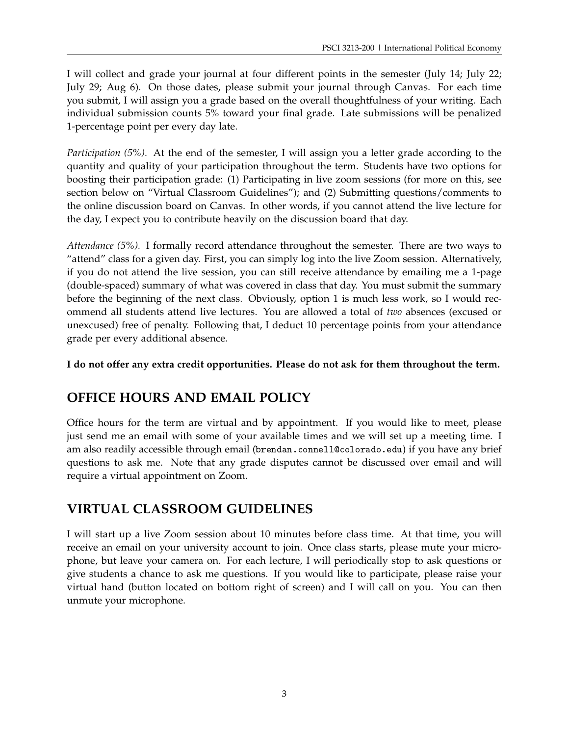I will collect and grade your journal at four different points in the semester (July 14; July 22; July 29; Aug 6). On those dates, please submit your journal through Canvas. For each time you submit, I will assign you a grade based on the overall thoughtfulness of your writing. Each individual submission counts 5% toward your final grade. Late submissions will be penalized 1-percentage point per every day late.

*Participation (5%).* At the end of the semester, I will assign you a letter grade according to the quantity and quality of your participation throughout the term. Students have two options for boosting their participation grade: (1) Participating in live zoom sessions (for more on this, see section below on "Virtual Classroom Guidelines"); and (2) Submitting questions/comments to the online discussion board on Canvas. In other words, if you cannot attend the live lecture for the day, I expect you to contribute heavily on the discussion board that day.

*Attendance (5%).* I formally record attendance throughout the semester. There are two ways to "attend" class for a given day. First, you can simply log into the live Zoom session. Alternatively, if you do not attend the live session, you can still receive attendance by emailing me a 1-page (double-spaced) summary of what was covered in class that day. You must submit the summary before the beginning of the next class. Obviously, option 1 is much less work, so I would recommend all students attend live lectures. You are allowed a total of *two* absences (excused or unexcused) free of penalty. Following that, I deduct 10 percentage points from your attendance grade per every additional absence.

**I do not offer any extra credit opportunities. Please do not ask for them throughout the term.**

# **OFFICE HOURS AND EMAIL POLICY**

Office hours for the term are virtual and by appointment. If you would like to meet, please just send me an email with some of your available times and we will set up a meeting time. I am also readily accessible through email (brendan.connell@colorado.edu) if you have any brief questions to ask me. Note that any grade disputes cannot be discussed over email and will require a virtual appointment on Zoom.

# **VIRTUAL CLASSROOM GUIDELINES**

I will start up a live Zoom session about 10 minutes before class time. At that time, you will receive an email on your university account to join. Once class starts, please mute your microphone, but leave your camera on. For each lecture, I will periodically stop to ask questions or give students a chance to ask me questions. If you would like to participate, please raise your virtual hand (button located on bottom right of screen) and I will call on you. You can then unmute your microphone.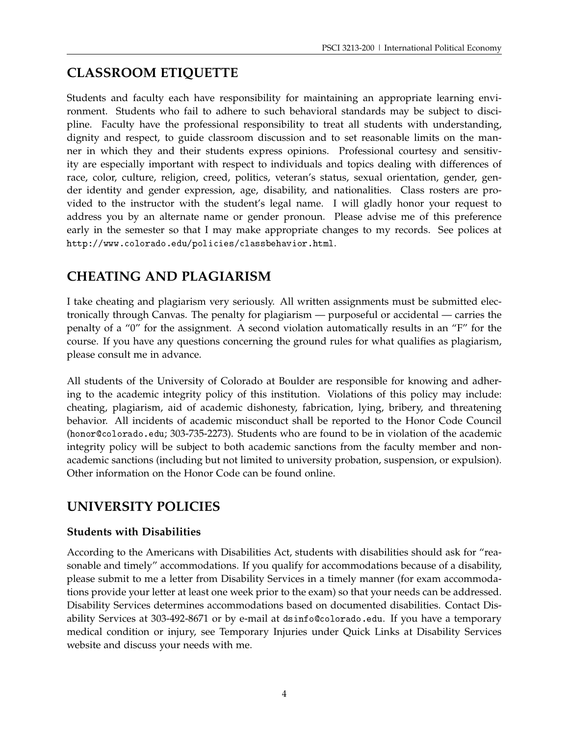# **CLASSROOM ETIQUETTE**

Students and faculty each have responsibility for maintaining an appropriate learning environment. Students who fail to adhere to such behavioral standards may be subject to discipline. Faculty have the professional responsibility to treat all students with understanding, dignity and respect, to guide classroom discussion and to set reasonable limits on the manner in which they and their students express opinions. Professional courtesy and sensitivity are especially important with respect to individuals and topics dealing with differences of race, color, culture, religion, creed, politics, veteran's status, sexual orientation, gender, gender identity and gender expression, age, disability, and nationalities. Class rosters are provided to the instructor with the student's legal name. I will gladly honor your request to address you by an alternate name or gender pronoun. Please advise me of this preference early in the semester so that I may make appropriate changes to my records. See polices at http://www.colorado.edu/policies/classbehavior.html.

# **CHEATING AND PLAGIARISM**

I take cheating and plagiarism very seriously. All written assignments must be submitted electronically through Canvas. The penalty for plagiarism — purposeful or accidental — carries the penalty of a "0" for the assignment. A second violation automatically results in an "F" for the course. If you have any questions concerning the ground rules for what qualifies as plagiarism, please consult me in advance.

All students of the University of Colorado at Boulder are responsible for knowing and adhering to the academic integrity policy of this institution. Violations of this policy may include: cheating, plagiarism, aid of academic dishonesty, fabrication, lying, bribery, and threatening behavior. All incidents of academic misconduct shall be reported to the Honor Code Council (honor@colorado.edu; 303-735-2273). Students who are found to be in violation of the academic integrity policy will be subject to both academic sanctions from the faculty member and nonacademic sanctions (including but not limited to university probation, suspension, or expulsion). Other information on the Honor Code can be found online.

# **UNIVERSITY POLICIES**

# **Students with Disabilities**

According to the Americans with Disabilities Act, students with disabilities should ask for "reasonable and timely" accommodations. If you qualify for accommodations because of a disability, please submit to me a letter from Disability Services in a timely manner (for exam accommodations provide your letter at least one week prior to the exam) so that your needs can be addressed. Disability Services determines accommodations based on documented disabilities. Contact Disability Services at 303-492-8671 or by e-mail at dsinfo@colorado.edu. If you have a temporary medical condition or injury, see Temporary Injuries under Quick Links at Disability Services website and discuss your needs with me.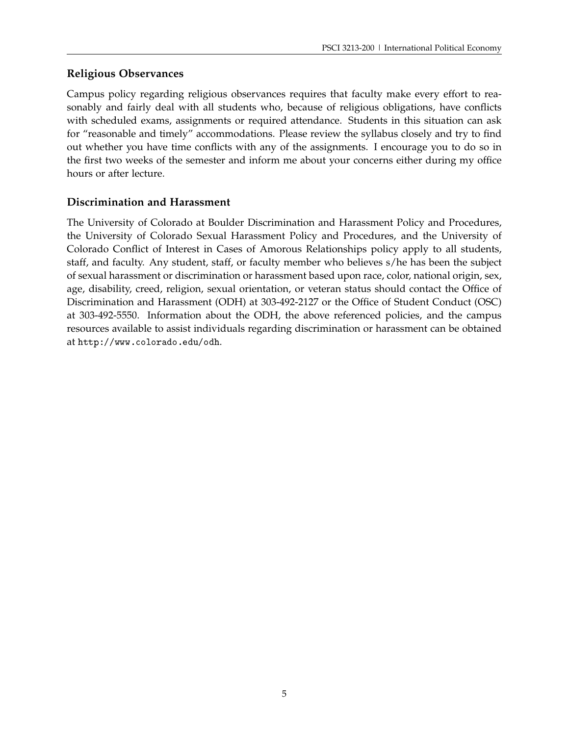# **Religious Observances**

Campus policy regarding religious observances requires that faculty make every effort to reasonably and fairly deal with all students who, because of religious obligations, have conflicts with scheduled exams, assignments or required attendance. Students in this situation can ask for "reasonable and timely" accommodations. Please review the syllabus closely and try to find out whether you have time conflicts with any of the assignments. I encourage you to do so in the first two weeks of the semester and inform me about your concerns either during my office hours or after lecture.

# **Discrimination and Harassment**

The University of Colorado at Boulder Discrimination and Harassment Policy and Procedures, the University of Colorado Sexual Harassment Policy and Procedures, and the University of Colorado Conflict of Interest in Cases of Amorous Relationships policy apply to all students, staff, and faculty. Any student, staff, or faculty member who believes s/he has been the subject of sexual harassment or discrimination or harassment based upon race, color, national origin, sex, age, disability, creed, religion, sexual orientation, or veteran status should contact the Office of Discrimination and Harassment (ODH) at 303-492-2127 or the Office of Student Conduct (OSC) at 303-492-5550. Information about the ODH, the above referenced policies, and the campus resources available to assist individuals regarding discrimination or harassment can be obtained at http://www.colorado.edu/odh.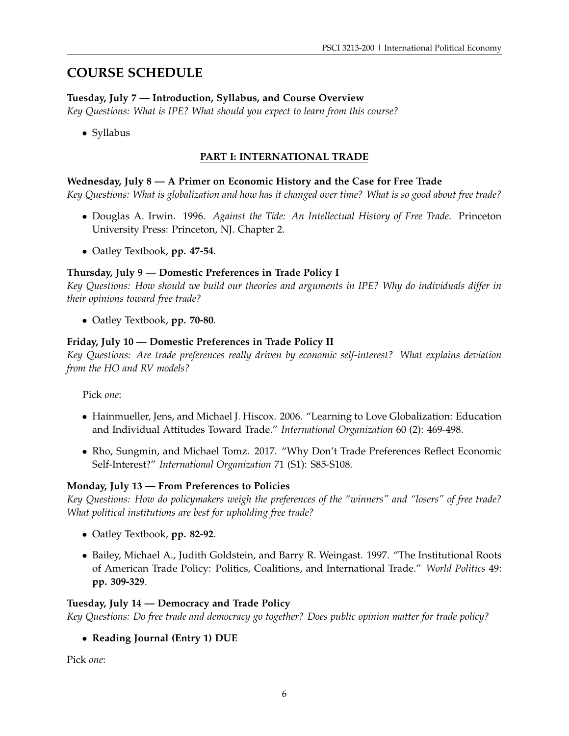# **COURSE SCHEDULE**

# **Tuesday, July 7 — Introduction, Syllabus, and Course Overview**

*Key Questions: What is IPE? What should you expect to learn from this course?*

• Syllabus

# **PART I: INTERNATIONAL TRADE**

# **Wednesday, July 8 — A Primer on Economic History and the Case for Free Trade**

*Key Questions: What is globalization and how has it changed over time? What is so good about free trade?*

- Douglas A. Irwin. 1996. *Against the Tide: An Intellectual History of Free Trade*. Princeton University Press: Princeton, NJ. Chapter 2.
- Oatley Textbook, **pp. 47-54**.

# **Thursday, July 9 — Domestic Preferences in Trade Policy I**

*Key Questions: How should we build our theories and arguments in IPE? Why do individuals differ in their opinions toward free trade?*

• Oatley Textbook, **pp. 70-80**.

# **Friday, July 10 — Domestic Preferences in Trade Policy II**

*Key Questions: Are trade preferences really driven by economic self-interest? What explains deviation from the HO and RV models?*

Pick *one*:

- Hainmueller, Jens, and Michael J. Hiscox. 2006. "Learning to Love Globalization: Education and Individual Attitudes Toward Trade." *International Organization* 60 (2): 469-498.
- Rho, Sungmin, and Michael Tomz. 2017. "Why Don't Trade Preferences Reflect Economic Self-Interest?" *International Organization* 71 (S1): S85-S108.

#### **Monday, July 13 — From Preferences to Policies**

*Key Questions: How do policymakers weigh the preferences of the "winners" and "losers" of free trade? What political institutions are best for upholding free trade?*

- Oatley Textbook, **pp. 82-92**.
- Bailey, Michael A., Judith Goldstein, and Barry R. Weingast. 1997. "The Institutional Roots of American Trade Policy: Politics, Coalitions, and International Trade." *World Politics* 49: **pp. 309-329**.

#### **Tuesday, July 14 — Democracy and Trade Policy**

*Key Questions: Do free trade and democracy go together? Does public opinion matter for trade policy?*

# • **Reading Journal (Entry 1) DUE**

Pick *one*: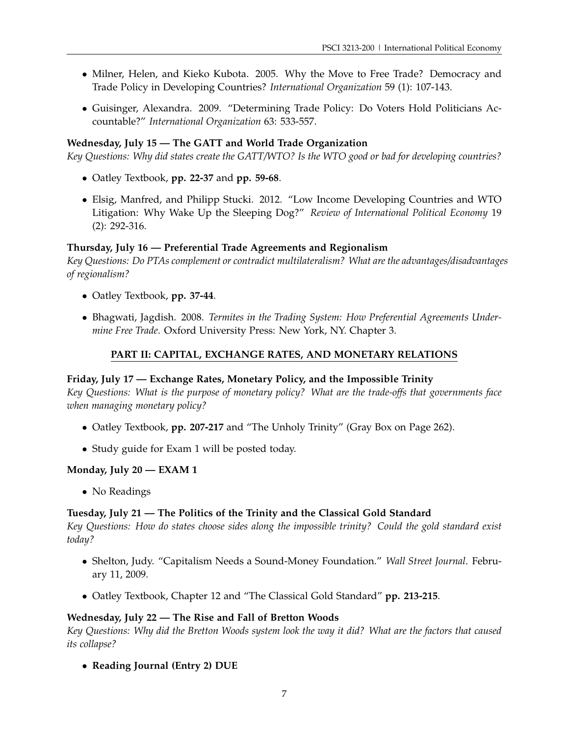- Milner, Helen, and Kieko Kubota. 2005. Why the Move to Free Trade? Democracy and Trade Policy in Developing Countries? *International Organization* 59 (1): 107-143.
- Guisinger, Alexandra. 2009. "Determining Trade Policy: Do Voters Hold Politicians Accountable?" *International Organization* 63: 533-557.

# **Wednesday, July 15 — The GATT and World Trade Organization**

*Key Questions: Why did states create the GATT/WTO? Is the WTO good or bad for developing countries?*

- Oatley Textbook, **pp. 22-37** and **pp. 59-68**.
- Elsig, Manfred, and Philipp Stucki. 2012. "Low Income Developing Countries and WTO Litigation: Why Wake Up the Sleeping Dog?" *Review of International Political Economy* 19 (2): 292-316.

#### **Thursday, July 16 — Preferential Trade Agreements and Regionalism**

*Key Questions: Do PTAs complement or contradict multilateralism? What are the advantages/disadvantages of regionalism?*

- Oatley Textbook, **pp. 37-44**.
- Bhagwati, Jagdish. 2008. *Termites in the Trading System: How Preferential Agreements Undermine Free Trade*. Oxford University Press: New York, NY. Chapter 3.

# **PART II: CAPITAL, EXCHANGE RATES, AND MONETARY RELATIONS**

#### **Friday, July 17 — Exchange Rates, Monetary Policy, and the Impossible Trinity**

*Key Questions: What is the purpose of monetary policy? What are the trade-offs that governments face when managing monetary policy?*

- Oatley Textbook, **pp. 207-217** and "The Unholy Trinity" (Gray Box on Page 262).
- Study guide for Exam 1 will be posted today.

#### **Monday, July 20 — EXAM 1**

• No Readings

#### **Tuesday, July 21 — The Politics of the Trinity and the Classical Gold Standard**

*Key Questions: How do states choose sides along the impossible trinity? Could the gold standard exist today?*

- Shelton, Judy. "Capitalism Needs a Sound-Money Foundation." *Wall Street Journal*. February 11, 2009.
- Oatley Textbook, Chapter 12 and "The Classical Gold Standard" **pp. 213-215**.

#### **Wednesday, July 22 — The Rise and Fall of Bretton Woods**

*Key Questions: Why did the Bretton Woods system look the way it did? What are the factors that caused its collapse?*

• **Reading Journal (Entry 2) DUE**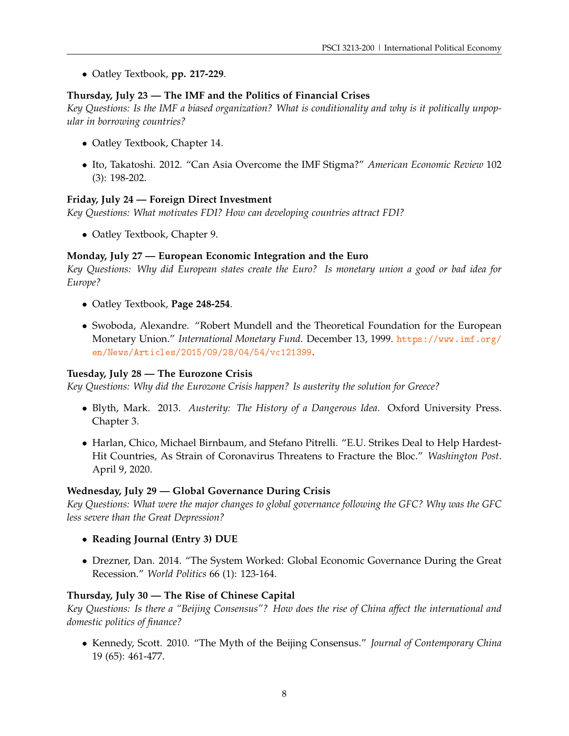• Oatley Textbook, **pp. 217-229**.

#### **Thursday, July 23 — The IMF and the Politics of Financial Crises**

*Key Questions: Is the IMF a biased organization? What is conditionality and why is it politically unpopular in borrowing countries?*

- Oatley Textbook, Chapter 14.
- Ito, Takatoshi. 2012. "Can Asia Overcome the IMF Stigma?" *American Economic Review* 102 (3): 198-202.

#### **Friday, July 24 — Foreign Direct Investment**

*Key Questions: What motivates FDI? How can developing countries attract FDI?*

• Oatley Textbook, Chapter 9.

# **Monday, July 27 — European Economic Integration and the Euro**

*Key Questions: Why did European states create the Euro? Is monetary union a good or bad idea for Europe?*

- Oatley Textbook, **Page 248-254**.
- Swoboda, Alexandre. "Robert Mundell and the Theoretical Foundation for the European Monetary Union." *International Monetary Fund*. December 13, 1999. [https://www.imf.org/](https://www.imf.org/en/News/Articles/2015/09/28/04/54/vc121399) [en/News/Articles/2015/09/28/04/54/vc121399](https://www.imf.org/en/News/Articles/2015/09/28/04/54/vc121399).

#### **Tuesday, July 28 — The Eurozone Crisis**

*Key Questions: Why did the Eurozone Crisis happen? Is austerity the solution for Greece?*

- Blyth, Mark. 2013. *Austerity: The History of a Dangerous Idea*. Oxford University Press. Chapter 3.
- Harlan, Chico, Michael Birnbaum, and Stefano Pitrelli. "E.U. Strikes Deal to Help Hardest-Hit Countries, As Strain of Coronavirus Threatens to Fracture the Bloc." *Washington Post*. April 9, 2020.

#### **Wednesday, July 29 — Global Governance During Crisis**

*Key Questions: What were the major changes to global governance following the GFC? Why was the GFC less severe than the Great Depression?*

- **Reading Journal (Entry 3) DUE**
- Drezner, Dan. 2014. "The System Worked: Global Economic Governance During the Great Recession." *World Politics* 66 (1): 123-164.

#### **Thursday, July 30 — The Rise of Chinese Capital**

*Key Questions: Is there a "Beijing Consensus"? How does the rise of China affect the international and domestic politics of finance?*

• Kennedy, Scott. 2010. "The Myth of the Beijing Consensus." *Journal of Contemporary China* 19 (65): 461-477.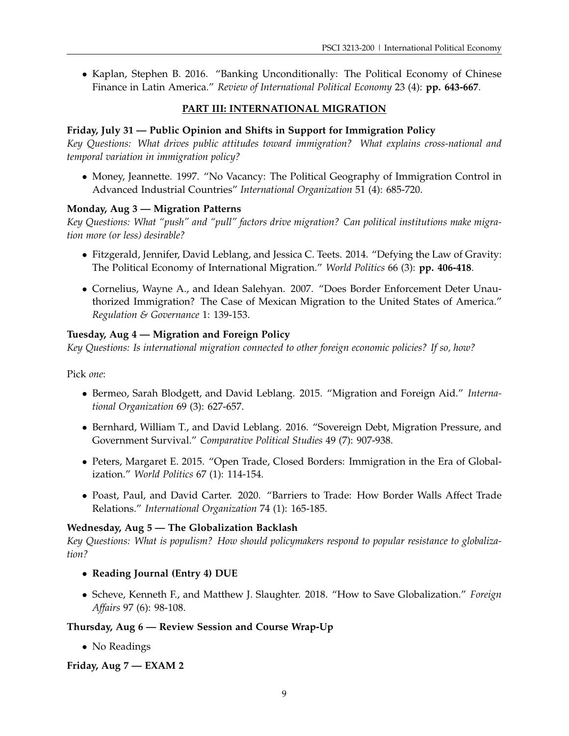• Kaplan, Stephen B. 2016. "Banking Unconditionally: The Political Economy of Chinese Finance in Latin America." *Review of International Political Economy* 23 (4): **pp. 643-667**.

# **PART III: INTERNATIONAL MIGRATION**

# **Friday, July 31 — Public Opinion and Shifts in Support for Immigration Policy**

*Key Questions: What drives public attitudes toward immigration? What explains cross-national and temporal variation in immigration policy?*

• Money, Jeannette. 1997. "No Vacancy: The Political Geography of Immigration Control in Advanced Industrial Countries" *International Organization* 51 (4): 685-720.

# **Monday, Aug 3 — Migration Patterns**

*Key Questions: What "push" and "pull" factors drive migration? Can political institutions make migration more (or less) desirable?*

- Fitzgerald, Jennifer, David Leblang, and Jessica C. Teets. 2014. "Defying the Law of Gravity: The Political Economy of International Migration." *World Politics* 66 (3): **pp. 406-418**.
- Cornelius, Wayne A., and Idean Salehyan. 2007. "Does Border Enforcement Deter Unauthorized Immigration? The Case of Mexican Migration to the United States of America." *Regulation & Governance* 1: 139-153.

# **Tuesday, Aug 4 — Migration and Foreign Policy**

*Key Questions: Is international migration connected to other foreign economic policies? If so, how?*

Pick *one*:

- Bermeo, Sarah Blodgett, and David Leblang. 2015. "Migration and Foreign Aid." *International Organization* 69 (3): 627-657.
- Bernhard, William T., and David Leblang. 2016. "Sovereign Debt, Migration Pressure, and Government Survival." *Comparative Political Studies* 49 (7): 907-938.
- Peters, Margaret E. 2015. "Open Trade, Closed Borders: Immigration in the Era of Globalization." *World Politics* 67 (1): 114-154.
- Poast, Paul, and David Carter. 2020. "Barriers to Trade: How Border Walls Affect Trade Relations." *International Organization* 74 (1): 165-185.

#### **Wednesday, Aug 5 — The Globalization Backlash**

*Key Questions: What is populism? How should policymakers respond to popular resistance to globalization?*

- **Reading Journal (Entry 4) DUE**
- Scheve, Kenneth F., and Matthew J. Slaughter. 2018. "How to Save Globalization." *Foreign Affairs* 97 (6): 98-108.

#### **Thursday, Aug 6 — Review Session and Course Wrap-Up**

• No Readings

#### **Friday, Aug 7 — EXAM 2**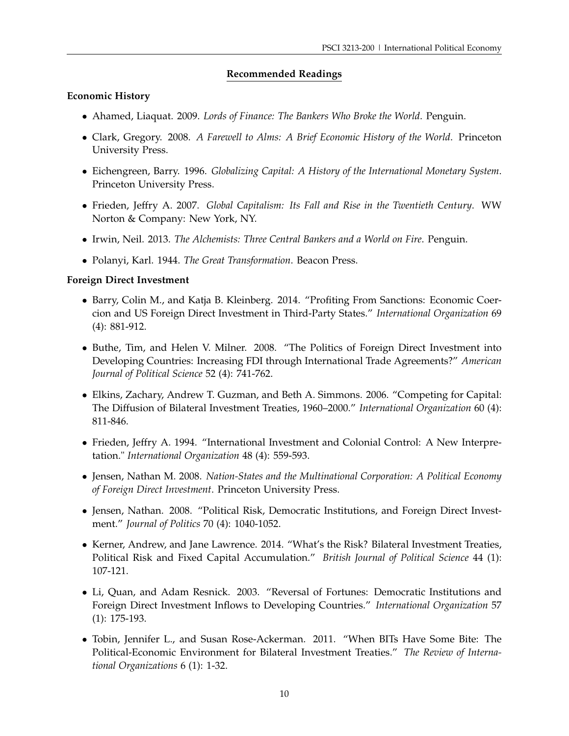# **Recommended Readings**

#### **Economic History**

- Ahamed, Liaquat. 2009. *Lords of Finance: The Bankers Who Broke the World*. Penguin.
- Clark, Gregory. 2008. *A Farewell to Alms: A Brief Economic History of the World*. Princeton University Press.
- Eichengreen, Barry. 1996. *Globalizing Capital: A History of the International Monetary System*. Princeton University Press.
- Frieden, Jeffry A. 2007. *Global Capitalism: Its Fall and Rise in the Twentieth Century*. WW Norton & Company: New York, NY.
- Irwin, Neil. 2013. *The Alchemists: Three Central Bankers and a World on Fire*. Penguin.
- Polanyi, Karl. 1944. *The Great Transformation*. Beacon Press.

#### **Foreign Direct Investment**

- Barry, Colin M., and Katja B. Kleinberg. 2014. "Profiting From Sanctions: Economic Coercion and US Foreign Direct Investment in Third-Party States." *International Organization* 69 (4): 881-912.
- Buthe, Tim, and Helen V. Milner. 2008. "The Politics of Foreign Direct Investment into Developing Countries: Increasing FDI through International Trade Agreements?" *American Journal of Political Science* 52 (4): 741-762.
- Elkins, Zachary, Andrew T. Guzman, and Beth A. Simmons. 2006. "Competing for Capital: The Diffusion of Bilateral Investment Treaties, 1960–2000." *International Organization* 60 (4): 811-846.
- Frieden, Jeffry A. 1994. "International Investment and Colonial Control: A New Interpretation." *International Organization* 48 (4): 559-593.
- Jensen, Nathan M. 2008. *Nation-States and the Multinational Corporation: A Political Economy of Foreign Direct Investment*. Princeton University Press.
- Jensen, Nathan. 2008. "Political Risk, Democratic Institutions, and Foreign Direct Investment." *Journal of Politics* 70 (4): 1040-1052.
- Kerner, Andrew, and Jane Lawrence. 2014. "What's the Risk? Bilateral Investment Treaties, Political Risk and Fixed Capital Accumulation." *British Journal of Political Science* 44 (1): 107-121.
- Li, Quan, and Adam Resnick. 2003. "Reversal of Fortunes: Democratic Institutions and Foreign Direct Investment Inflows to Developing Countries." *International Organization* 57 (1): 175-193.
- Tobin, Jennifer L., and Susan Rose-Ackerman. 2011. "When BITs Have Some Bite: The Political-Economic Environment for Bilateral Investment Treaties." *The Review of International Organizations* 6 (1): 1-32.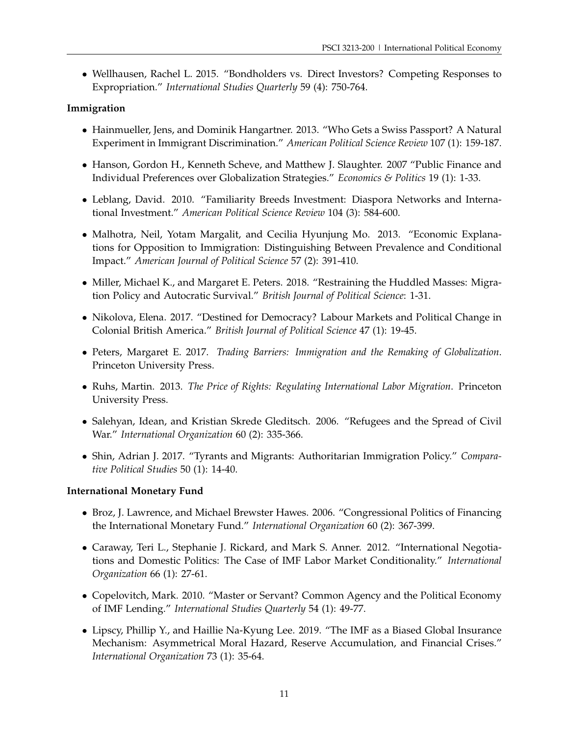• Wellhausen, Rachel L. 2015. "Bondholders vs. Direct Investors? Competing Responses to Expropriation." *International Studies Quarterly* 59 (4): 750-764.

# **Immigration**

- Hainmueller, Jens, and Dominik Hangartner. 2013. "Who Gets a Swiss Passport? A Natural Experiment in Immigrant Discrimination." *American Political Science Review* 107 (1): 159-187.
- Hanson, Gordon H., Kenneth Scheve, and Matthew J. Slaughter. 2007 "Public Finance and Individual Preferences over Globalization Strategies." *Economics & Politics* 19 (1): 1-33.
- Leblang, David. 2010. "Familiarity Breeds Investment: Diaspora Networks and International Investment." *American Political Science Review* 104 (3): 584-600.
- Malhotra, Neil, Yotam Margalit, and Cecilia Hyunjung Mo. 2013. "Economic Explanations for Opposition to Immigration: Distinguishing Between Prevalence and Conditional Impact." *American Journal of Political Science* 57 (2): 391-410.
- Miller, Michael K., and Margaret E. Peters. 2018. "Restraining the Huddled Masses: Migration Policy and Autocratic Survival." *British Journal of Political Science*: 1-31.
- Nikolova, Elena. 2017. "Destined for Democracy? Labour Markets and Political Change in Colonial British America." *British Journal of Political Science* 47 (1): 19-45.
- Peters, Margaret E. 2017. *Trading Barriers: Immigration and the Remaking of Globalization*. Princeton University Press.
- Ruhs, Martin. 2013. *The Price of Rights: Regulating International Labor Migration*. Princeton University Press.
- Salehyan, Idean, and Kristian Skrede Gleditsch. 2006. "Refugees and the Spread of Civil War." *International Organization* 60 (2): 335-366.
- Shin, Adrian J. 2017. "Tyrants and Migrants: Authoritarian Immigration Policy." *Comparative Political Studies* 50 (1): 14-40.

#### **International Monetary Fund**

- Broz, J. Lawrence, and Michael Brewster Hawes. 2006. "Congressional Politics of Financing the International Monetary Fund." *International Organization* 60 (2): 367-399.
- Caraway, Teri L., Stephanie J. Rickard, and Mark S. Anner. 2012. "International Negotiations and Domestic Politics: The Case of IMF Labor Market Conditionality." *International Organization* 66 (1): 27-61.
- Copelovitch, Mark. 2010. "Master or Servant? Common Agency and the Political Economy of IMF Lending." *International Studies Quarterly* 54 (1): 49-77.
- Lipscy, Phillip Y., and Haillie Na-Kyung Lee. 2019. "The IMF as a Biased Global Insurance Mechanism: Asymmetrical Moral Hazard, Reserve Accumulation, and Financial Crises." *International Organization* 73 (1): 35-64.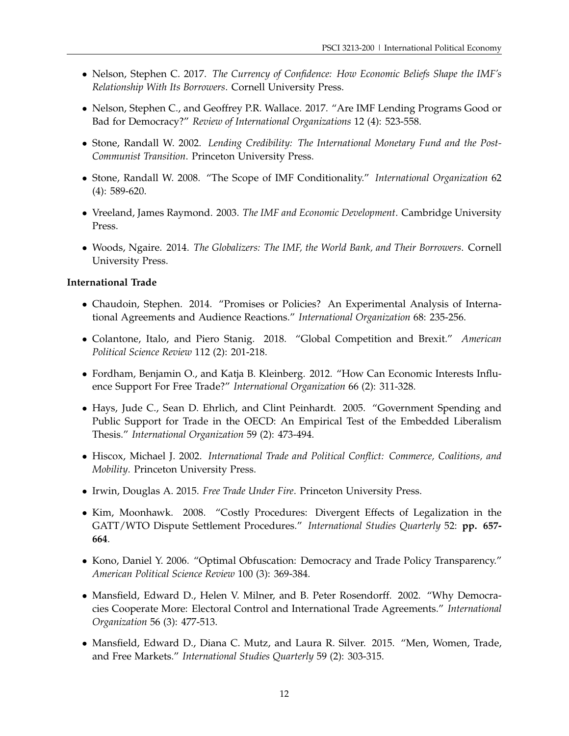- Nelson, Stephen C. 2017. *The Currency of Confidence: How Economic Beliefs Shape the IMF's Relationship With Its Borrowers*. Cornell University Press.
- Nelson, Stephen C., and Geoffrey P.R. Wallace. 2017. "Are IMF Lending Programs Good or Bad for Democracy?" *Review of International Organizations* 12 (4): 523-558.
- Stone, Randall W. 2002. *Lending Credibility: The International Monetary Fund and the Post-Communist Transition*. Princeton University Press.
- Stone, Randall W. 2008. "The Scope of IMF Conditionality." *International Organization* 62 (4): 589-620.
- Vreeland, James Raymond. 2003. *The IMF and Economic Development*. Cambridge University Press.
- Woods, Ngaire. 2014. *The Globalizers: The IMF, the World Bank, and Their Borrowers*. Cornell University Press.

#### **International Trade**

- Chaudoin, Stephen. 2014. "Promises or Policies? An Experimental Analysis of International Agreements and Audience Reactions." *International Organization* 68: 235-256.
- Colantone, Italo, and Piero Stanig. 2018. "Global Competition and Brexit." *American Political Science Review* 112 (2): 201-218.
- Fordham, Benjamin O., and Katja B. Kleinberg. 2012. "How Can Economic Interests Influence Support For Free Trade?" *International Organization* 66 (2): 311-328.
- Hays, Jude C., Sean D. Ehrlich, and Clint Peinhardt. 2005. "Government Spending and Public Support for Trade in the OECD: An Empirical Test of the Embedded Liberalism Thesis." *International Organization* 59 (2): 473-494.
- Hiscox, Michael J. 2002. *International Trade and Political Conflict: Commerce, Coalitions, and Mobility*. Princeton University Press.
- Irwin, Douglas A. 2015. *Free Trade Under Fire*. Princeton University Press.
- Kim, Moonhawk. 2008. "Costly Procedures: Divergent Effects of Legalization in the GATT/WTO Dispute Settlement Procedures." *International Studies Quarterly* 52: **pp. 657- 664**.
- Kono, Daniel Y. 2006. "Optimal Obfuscation: Democracy and Trade Policy Transparency." *American Political Science Review* 100 (3): 369-384.
- Mansfield, Edward D., Helen V. Milner, and B. Peter Rosendorff. 2002. "Why Democracies Cooperate More: Electoral Control and International Trade Agreements." *International Organization* 56 (3): 477-513.
- Mansfield, Edward D., Diana C. Mutz, and Laura R. Silver. 2015. "Men, Women, Trade, and Free Markets." *International Studies Quarterly* 59 (2): 303-315.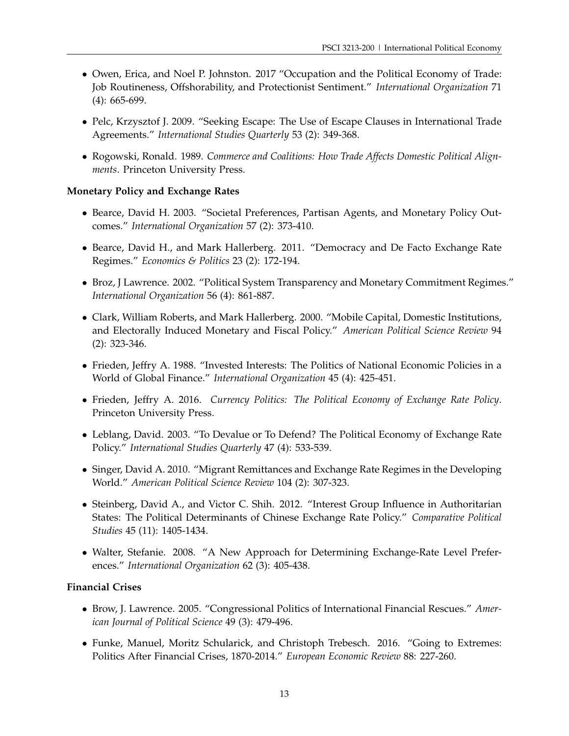- Owen, Erica, and Noel P. Johnston. 2017 "Occupation and the Political Economy of Trade: Job Routineness, Offshorability, and Protectionist Sentiment." *International Organization* 71 (4): 665-699.
- Pelc, Krzysztof J. 2009. "Seeking Escape: The Use of Escape Clauses in International Trade Agreements." *International Studies Quarterly* 53 (2): 349-368.
- Rogowski, Ronald. 1989. *Commerce and Coalitions: How Trade Affects Domestic Political Alignments*. Princeton University Press.

# **Monetary Policy and Exchange Rates**

- Bearce, David H. 2003. "Societal Preferences, Partisan Agents, and Monetary Policy Outcomes." *International Organization* 57 (2): 373-410.
- Bearce, David H., and Mark Hallerberg. 2011. "Democracy and De Facto Exchange Rate Regimes." *Economics & Politics* 23 (2): 172-194.
- Broz, J Lawrence. 2002. "Political System Transparency and Monetary Commitment Regimes." *International Organization* 56 (4): 861-887.
- Clark, William Roberts, and Mark Hallerberg. 2000. "Mobile Capital, Domestic Institutions, and Electorally Induced Monetary and Fiscal Policy." *American Political Science Review* 94 (2): 323-346.
- Frieden, Jeffry A. 1988. "Invested Interests: The Politics of National Economic Policies in a World of Global Finance." *International Organization* 45 (4): 425-451.
- Frieden, Jeffry A. 2016. *Currency Politics: The Political Economy of Exchange Rate Policy*. Princeton University Press.
- Leblang, David. 2003. "To Devalue or To Defend? The Political Economy of Exchange Rate Policy." *International Studies Quarterly* 47 (4): 533-539.
- Singer, David A. 2010. "Migrant Remittances and Exchange Rate Regimes in the Developing World." *American Political Science Review* 104 (2): 307-323.
- Steinberg, David A., and Victor C. Shih. 2012. "Interest Group Influence in Authoritarian States: The Political Determinants of Chinese Exchange Rate Policy." *Comparative Political Studies* 45 (11): 1405-1434.
- Walter, Stefanie. 2008. "A New Approach for Determining Exchange-Rate Level Preferences." *International Organization* 62 (3): 405-438.

#### **Financial Crises**

- Brow, J. Lawrence. 2005. "Congressional Politics of International Financial Rescues." *American Journal of Political Science* 49 (3): 479-496.
- Funke, Manuel, Moritz Schularick, and Christoph Trebesch. 2016. "Going to Extremes: Politics After Financial Crises, 1870-2014." *European Economic Review* 88: 227-260.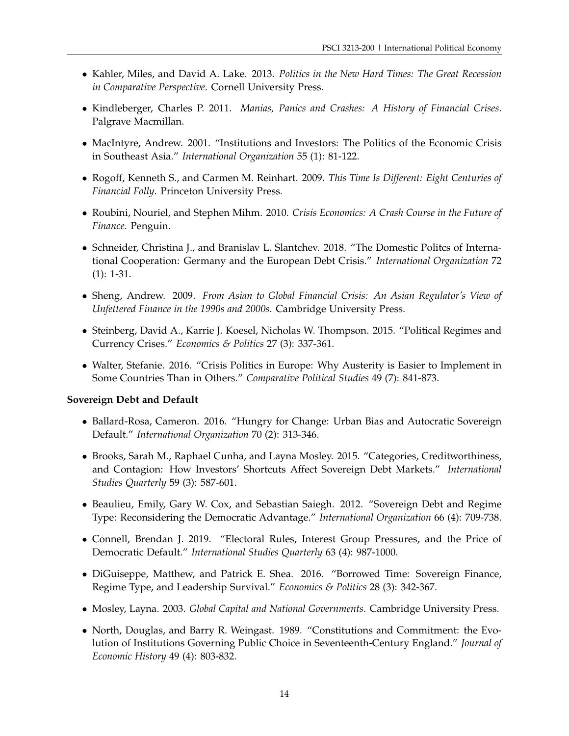- Kahler, Miles, and David A. Lake. 2013. *Politics in the New Hard Times: The Great Recession in Comparative Perspective*. Cornell University Press.
- Kindleberger, Charles P. 2011. *Manias, Panics and Crashes: A History of Financial Crises*. Palgrave Macmillan.
- MacIntyre, Andrew. 2001. "Institutions and Investors: The Politics of the Economic Crisis in Southeast Asia." *International Organization* 55 (1): 81-122.
- Rogoff, Kenneth S., and Carmen M. Reinhart. 2009. *This Time Is Different: Eight Centuries of Financial Folly*. Princeton University Press.
- Roubini, Nouriel, and Stephen Mihm. 2010. *Crisis Economics: A Crash Course in the Future of Finance*. Penguin.
- Schneider, Christina J., and Branislav L. Slantchev. 2018. "The Domestic Politcs of International Cooperation: Germany and the European Debt Crisis." *International Organization* 72 (1): 1-31.
- Sheng, Andrew. 2009. *From Asian to Global Financial Crisis: An Asian Regulator's View of Unfettered Finance in the 1990s and 2000s*. Cambridge University Press.
- Steinberg, David A., Karrie J. Koesel, Nicholas W. Thompson. 2015. "Political Regimes and Currency Crises." *Economics & Politics* 27 (3): 337-361.
- Walter, Stefanie. 2016. "Crisis Politics in Europe: Why Austerity is Easier to Implement in Some Countries Than in Others." *Comparative Political Studies* 49 (7): 841-873.

#### **Sovereign Debt and Default**

- Ballard-Rosa, Cameron. 2016. "Hungry for Change: Urban Bias and Autocratic Sovereign Default." *International Organization* 70 (2): 313-346.
- Brooks, Sarah M., Raphael Cunha, and Layna Mosley. 2015. "Categories, Creditworthiness, and Contagion: How Investors' Shortcuts Affect Sovereign Debt Markets." *International Studies Quarterly* 59 (3): 587-601.
- Beaulieu, Emily, Gary W. Cox, and Sebastian Saiegh. 2012. "Sovereign Debt and Regime Type: Reconsidering the Democratic Advantage." *International Organization* 66 (4): 709-738.
- Connell, Brendan J. 2019. "Electoral Rules, Interest Group Pressures, and the Price of Democratic Default." *International Studies Quarterly* 63 (4): 987-1000.
- DiGuiseppe, Matthew, and Patrick E. Shea. 2016. "Borrowed Time: Sovereign Finance, Regime Type, and Leadership Survival." *Economics & Politics* 28 (3): 342-367.
- Mosley, Layna. 2003. *Global Capital and National Governments*. Cambridge University Press.
- North, Douglas, and Barry R. Weingast. 1989. "Constitutions and Commitment: the Evolution of Institutions Governing Public Choice in Seventeenth-Century England." *Journal of Economic History* 49 (4): 803-832.